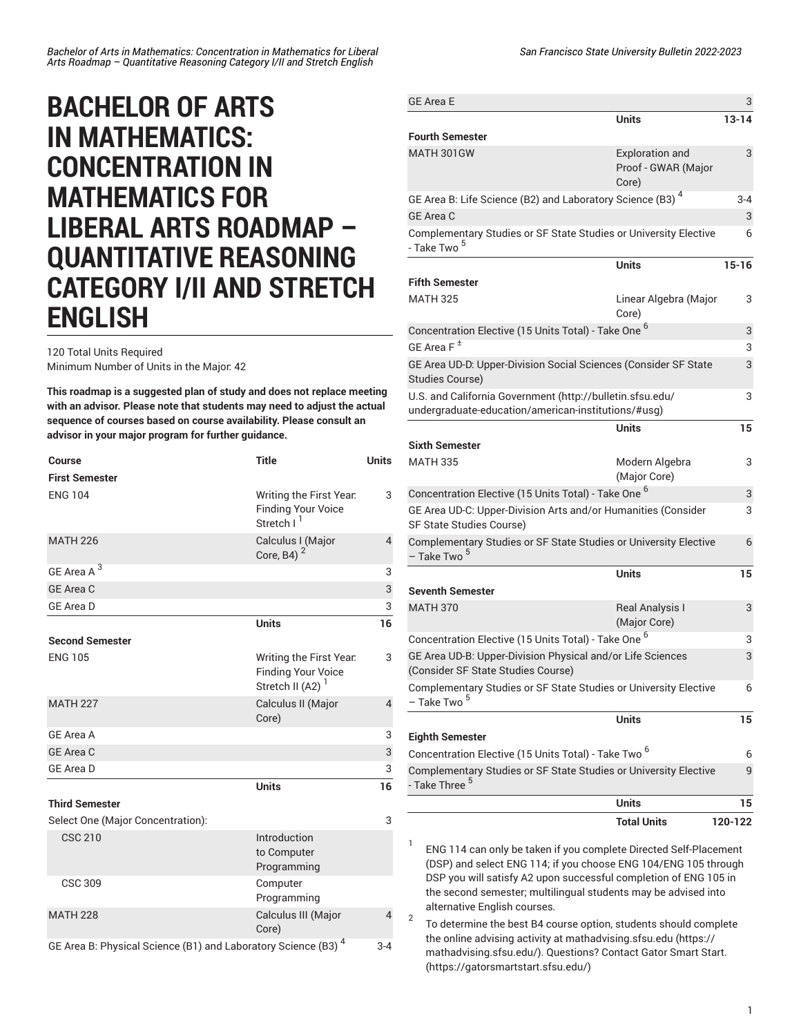## **BACHELOR OF ARTS IN MATHEMATICS: CONCENTRATION IN MATHEMATICS FOR LIBERAL ARTS ROADMAP – QUANTITATIVE REASONING CATEGORY I/II AND STRETCH ENGLISH**

120 Total Units Required Minimum Number of Units in the Major: 42

**This roadmap is a suggested plan of study and does not replace meeting with an advisor. Please note that students may need to adjust the actual sequence of courses based on course availability. Please consult an advisor in your major program for further guidance.**

| Course                                                                    | <b>Title</b>                                                                         | <b>Units</b>   |
|---------------------------------------------------------------------------|--------------------------------------------------------------------------------------|----------------|
| <b>First Semester</b>                                                     |                                                                                      |                |
| <b>ENG 104</b>                                                            | Writing the First Year.<br><b>Finding Your Voice</b><br>Stretch I <sup>1</sup>       | 3              |
| <b>MATH 226</b>                                                           | Calculus I (Major<br>Core, B4) $2$                                                   | $\overline{4}$ |
| GE Area A <sup>3</sup>                                                    |                                                                                      | 3              |
| <b>GE Area C</b>                                                          |                                                                                      | 3              |
| <b>GE Area D</b>                                                          |                                                                                      | 3              |
|                                                                           | <b>Units</b>                                                                         | 16             |
| <b>Second Semester</b>                                                    |                                                                                      |                |
| <b>ENG 105</b>                                                            | Writing the First Year.<br><b>Finding Your Voice</b><br>Stretch II (A2) <sup>1</sup> | 3              |
| <b>MATH 227</b>                                                           | Calculus II (Major<br>Core)                                                          | $\overline{4}$ |
| GE Area A                                                                 |                                                                                      | 3              |
| <b>GE Area C</b>                                                          |                                                                                      | 3              |
| <b>GE Area D</b>                                                          |                                                                                      | 3              |
| <b>Third Semester</b>                                                     | <b>Units</b>                                                                         | 16             |
| Select One (Major Concentration):                                         |                                                                                      | 3              |
| <b>CSC 210</b>                                                            | Introduction<br>to Computer<br>Programming                                           |                |
| <b>CSC 309</b>                                                            | Computer<br>Programming                                                              |                |
| <b>MATH 228</b>                                                           | Calculus III (Major<br>Core)                                                         | 4              |
| GE Area B: Physical Science (B1) and Laboratory Science (B3) <sup>4</sup> |                                                                                      |                |

| <b>GE Area E</b>                                                                                                                          |                                                        | 3         |  |
|-------------------------------------------------------------------------------------------------------------------------------------------|--------------------------------------------------------|-----------|--|
|                                                                                                                                           | <b>Units</b>                                           | $13 - 14$ |  |
| <b>Fourth Semester</b>                                                                                                                    |                                                        |           |  |
| MATH 301GW                                                                                                                                | <b>Exploration and</b><br>Proof - GWAR (Major<br>Core) | 3         |  |
| GE Area B: Life Science (B2) and Laboratory Science (B3) <sup>4</sup>                                                                     |                                                        | $3 - 4$   |  |
| <b>GE Area C</b>                                                                                                                          |                                                        | 3         |  |
| Complementary Studies or SF State Studies or University Elective<br>- Take Two <sup>5</sup>                                               |                                                        | 6         |  |
|                                                                                                                                           | <b>Units</b>                                           | $15 - 16$ |  |
| <b>Fifth Semester</b>                                                                                                                     |                                                        |           |  |
| <b>MATH 325</b>                                                                                                                           | Linear Algebra (Major<br>Core)                         | 3         |  |
| Concentration Elective (15 Units Total) - Take One <sup>6</sup>                                                                           |                                                        | 3         |  |
| GE Area $F^{\pm}$                                                                                                                         |                                                        | 3         |  |
| GE Area UD-D: Upper-Division Social Sciences (Consider SF State<br>Studies Course)                                                        |                                                        | 3         |  |
| U.S. and California Government (http://bulletin.sfsu.edu/<br>3                                                                            |                                                        |           |  |
| undergraduate-education/american-institutions/#usg)                                                                                       |                                                        |           |  |
|                                                                                                                                           | Units                                                  | 15        |  |
| <b>Sixth Semester</b>                                                                                                                     |                                                        |           |  |
| <b>MATH 335</b>                                                                                                                           | Modern Algebra<br>(Major Core)                         | 3         |  |
| Concentration Elective (15 Units Total) - Take One <sup>6</sup>                                                                           |                                                        |           |  |
| GE Area UD-C: Upper-Division Arts and/or Humanities (Consider<br>SF State Studies Course)                                                 |                                                        | 3         |  |
| Complementary Studies or SF State Studies or University Elective<br>– Take Two <sup>5</sup>                                               |                                                        | 6         |  |
|                                                                                                                                           | <b>Units</b>                                           | 15        |  |
| <b>Seventh Semester</b>                                                                                                                   |                                                        |           |  |
| <b>MATH 370</b>                                                                                                                           | <b>Real Analysis I</b>                                 | 3         |  |
|                                                                                                                                           | (Major Core)                                           |           |  |
| Concentration Elective (15 Units Total) - Take One <sup>6</sup>                                                                           |                                                        | 3         |  |
| GE Area UD-B: Upper-Division Physical and/or Life Sciences<br>(Consider SF State Studies Course)                                          |                                                        | 3         |  |
| Complementary Studies or SF State Studies or University Elective<br>- Take Two <sup>5</sup>                                               |                                                        | 6         |  |
|                                                                                                                                           | <b>Units</b>                                           | 15        |  |
| <b>Eighth Semester</b>                                                                                                                    |                                                        |           |  |
| Concentration Elective (15 Units Total) - Take Two <sup>6</sup>                                                                           |                                                        | 6         |  |
| Complementary Studies or SF State Studies or University Elective<br>- Take Three <sup>5</sup>                                             |                                                        | 9         |  |
|                                                                                                                                           | Units                                                  | 15        |  |
|                                                                                                                                           | <b>Total Units</b>                                     | 120-122   |  |
| 1<br>ENG 114 can only be taken if you complete Directed Self-Placement<br>(DSP) and select ENG 114; if you choose ENG 104/ENG 105 through |                                                        |           |  |

(DSP) and select ENG 114; if you choose ENG 104/ENG 105 through DSP you will satisfy A2 upon successful completion of ENG 105 in the second semester; multilingual students may be advised into alternative English courses. 2

To determine the best B4 course option, students should complete the online advising activity at [mathadvising.sfsu.edu \(https://](https://mathadvising.sfsu.edu/) [mathadvising.sfsu.edu/](https://mathadvising.sfsu.edu/)). Questions? Contact Gator [Smart](https://gatorsmartstart.sfsu.edu/) Start. [\(https://gatorsmartstart.sfsu.edu/](https://gatorsmartstart.sfsu.edu/))